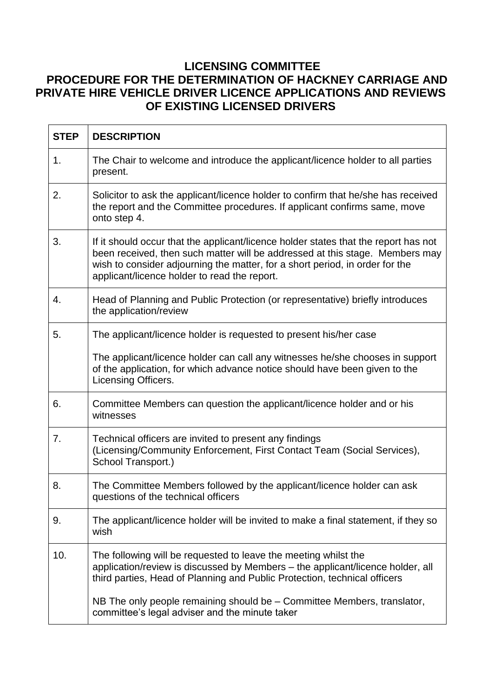## **LICENSING COMMITTEE PROCEDURE FOR THE DETERMINATION OF HACKNEY CARRIAGE AND PRIVATE HIRE VEHICLE DRIVER LICENCE APPLICATIONS AND REVIEWS OF EXISTING LICENSED DRIVERS**

| <b>STEP</b> | <b>DESCRIPTION</b>                                                                                                                                                                                                                                                                                  |
|-------------|-----------------------------------------------------------------------------------------------------------------------------------------------------------------------------------------------------------------------------------------------------------------------------------------------------|
| 1.          | The Chair to welcome and introduce the applicant/licence holder to all parties<br>present.                                                                                                                                                                                                          |
| 2.          | Solicitor to ask the applicant/licence holder to confirm that he/she has received<br>the report and the Committee procedures. If applicant confirms same, move<br>onto step 4.                                                                                                                      |
| 3.          | If it should occur that the applicant/licence holder states that the report has not<br>been received, then such matter will be addressed at this stage. Members may<br>wish to consider adjourning the matter, for a short period, in order for the<br>applicant/licence holder to read the report. |
| 4.          | Head of Planning and Public Protection (or representative) briefly introduces<br>the application/review                                                                                                                                                                                             |
| 5.          | The applicant/licence holder is requested to present his/her case                                                                                                                                                                                                                                   |
|             | The applicant/licence holder can call any witnesses he/she chooses in support<br>of the application, for which advance notice should have been given to the<br>Licensing Officers.                                                                                                                  |
| 6.          | Committee Members can question the applicant/licence holder and or his<br>witnesses                                                                                                                                                                                                                 |
| 7.          | Technical officers are invited to present any findings<br>(Licensing/Community Enforcement, First Contact Team (Social Services),<br>School Transport.)                                                                                                                                             |
| 8.          | The Committee Members followed by the applicant/licence holder can ask<br>questions of the technical officers                                                                                                                                                                                       |
| 9.          | The applicant/licence holder will be invited to make a final statement, if they so<br>wish                                                                                                                                                                                                          |
| 10.         | The following will be requested to leave the meeting whilst the<br>application/review is discussed by Members – the applicant/licence holder, all<br>third parties, Head of Planning and Public Protection, technical officers                                                                      |
|             | NB The only people remaining should be – Committee Members, translator,<br>committee's legal adviser and the minute taker                                                                                                                                                                           |